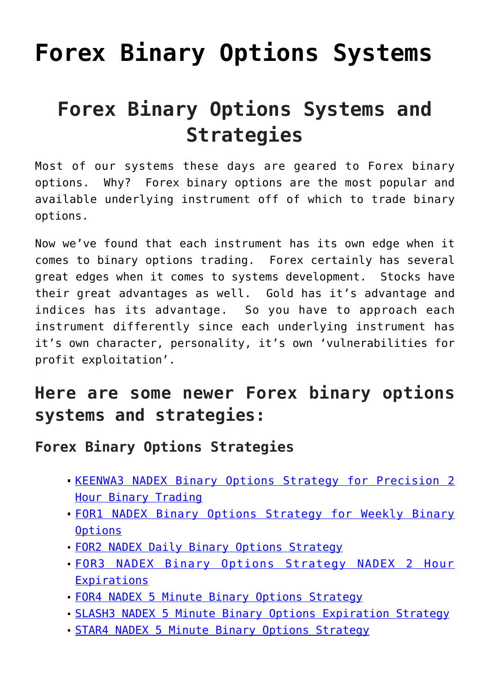# **[Forex Binary Options Systems](https://binaryoptionsauthority.com/binary-options-authority/binary-options-systems/forex-binary-options-systems/)**

## **Forex Binary Options Systems and Strategies**

Most of our systems these days are geared to Forex binary options. Why? Forex binary options are the most popular and available underlying instrument off of which to trade binary options.

Now we've found that each instrument has its own edge when it comes to binary options trading. Forex certainly has several great edges when it comes to systems development. Stocks have their great advantages as well. Gold has it's advantage and indices has its advantage. So you have to approach each instrument differently since each underlying instrument has it's own character, personality, it's own 'vulnerabilities for profit exploitation'.

#### **Here are some newer Forex binary options systems and strategies:**

**Forex Binary Options Strategies**

- **[KEENWA3 NADEX Binary Options Strategy for Precision 2](https://binaryoptionsauthority.com/keenwa3-nadex-binary-options-strategy-precision-2-hour-binary-trading/)** [Hour Binary Trading](https://binaryoptionsauthority.com/keenwa3-nadex-binary-options-strategy-precision-2-hour-binary-trading/)
- [FOR1 NADEX Binary Options Strategy for Weekly Binary](https://binaryoptionsauthority.com/for1-nadex-binary-options-strategy-weekly-binary-options/) **[Options](https://binaryoptionsauthority.com/for1-nadex-binary-options-strategy-weekly-binary-options/)**
- [FOR2 NADEX Daily Binary Options Strategy](https://binaryoptionsauthority.com/for2-nadex-daily-binary-options-strategy/)
- [FOR3 NADEX Binary Options Strategy NADEX 2 Hour](https://binaryoptionsauthority.com/for3-nadex-binary-options-strategy-nadex-2-hour-expirations/) **[Expirations](https://binaryoptionsauthority.com/for3-nadex-binary-options-strategy-nadex-2-hour-expirations/)**
- [FOR4 NADEX 5 Minute Binary Options Strategy](https://binaryoptionsauthority.com/for4-nadex-5-minute-binary-options-strategy/)
- [SLASH3 NADEX 5 Minute Binary Options Expiration Strategy](https://binaryoptionsauthority.com/slash3-nadex-5-minute-binary-options-expiration-strategy/)
- [STAR4 NADEX 5 Minute Binary Options Strategy](https://binaryoptionsauthority.com/star4-nadex-5-minute-binary-options-strategy/)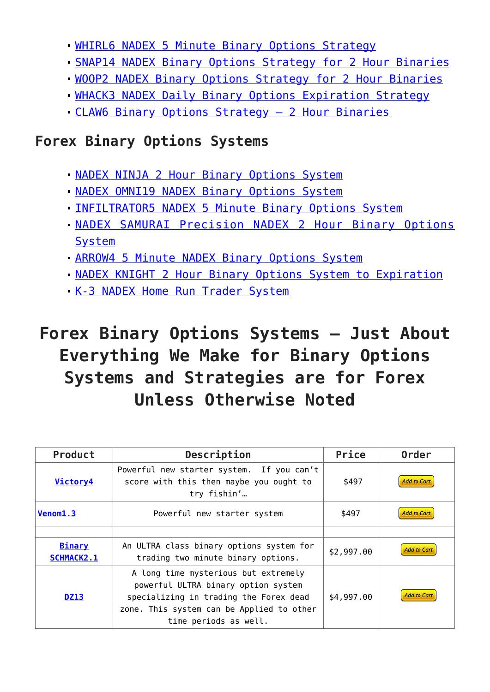[WHIRL6 NADEX 5 Minute Binary Options Strategy](https://binaryoptionsauthority.com/whilr6-nadex-5-minute-binary-options-strategy/)

- [SNAP14 NADEX Binary Options Strategy for 2 Hour Binaries](https://binaryoptionsauthority.com/snap14-nadex-binary-options-strategy/)
- [WOOP2 NADEX Binary Options Strategy for 2 Hour Binaries](https://binaryoptionsauthority.com/woop2-nadex-binary-options-strategy/)
- [WHACK3 NADEX Daily Binary Options Expiration Strategy](https://binaryoptionsauthority.com/whack3-nadex-daily-binary-options-expiration-strategy/)
- [CLAW6 Binary Options Strategy 2 Hour Binaries](https://binaryoptionsauthority.com/boa-claw6-binary-options-strategy/)

#### **Forex Binary Options Systems**

- [NADEX NINJA 2 Hour Binary Options System](https://binaryoptionsauthority.com/nadex-ninja-2-hour-binary-options-system/)
- **[NADEX OMNI19 NADEX Binary Options System](https://binaryoptionsauthority.com/nadex-omni19-nadex-binary-options-system/)**
- **[INFILTRATOR5 NADEX 5 Minute Binary Options System](https://binaryoptionsauthority.com/infiltrator5-nadex-5-minute-binary-options-system/)**
- [NADEX SAMURAI Precision NADEX 2 Hour Binary Options](https://binaryoptionsauthority.com/nadex-samurai-precision-nadex-2-hour-binary-options-system/) [System](https://binaryoptionsauthority.com/nadex-samurai-precision-nadex-2-hour-binary-options-system/)
- [ARROW4 5 Minute NADEX Binary Options System](https://binaryoptionsauthority.com/arrow4-5-minute-nadex-binary-options-system/)
- **[NADEX KNIGHT 2 Hour Binary Options System to Expiration](https://binaryoptionsauthority.com/nadex-knight-2-hour-binary-options-system-expiration/)**
- [K-3 NADEX Home Run Trader System](https://binaryoptionsauthority.com/k-3-nadex-home-run-trader-system/)

### **Forex Binary Options Systems – Just About Everything We Make for Binary Options Systems and Strategies are for Forex Unless Otherwise Noted**

| Product                            | Description                                                                                                                                                                                 | Price      | <b>Order</b>       |
|------------------------------------|---------------------------------------------------------------------------------------------------------------------------------------------------------------------------------------------|------------|--------------------|
| Victory4                           | Powerful new starter system. If you can't<br>score with this then maybe you ought to<br>try fishin'                                                                                         | \$497      | <b>Add to Cart</b> |
| Venom <sub>1.3</sub>               | Powerful new starter system                                                                                                                                                                 | \$497      | <b>Add to Cart</b> |
|                                    |                                                                                                                                                                                             |            |                    |
| <b>Binary</b><br><b>SCHMACK2.1</b> | An ULTRA class binary options system for<br>trading two minute binary options.                                                                                                              | \$2,997.00 | <b>Add to Cart</b> |
| <b>DZ13</b>                        | A long time mysterious but extremely<br>powerful ULTRA binary option system<br>specializing in trading the Forex dead<br>zone. This system can be Applied to other<br>time periods as well. | \$4,997,00 | <b>Add to Cart</b> |